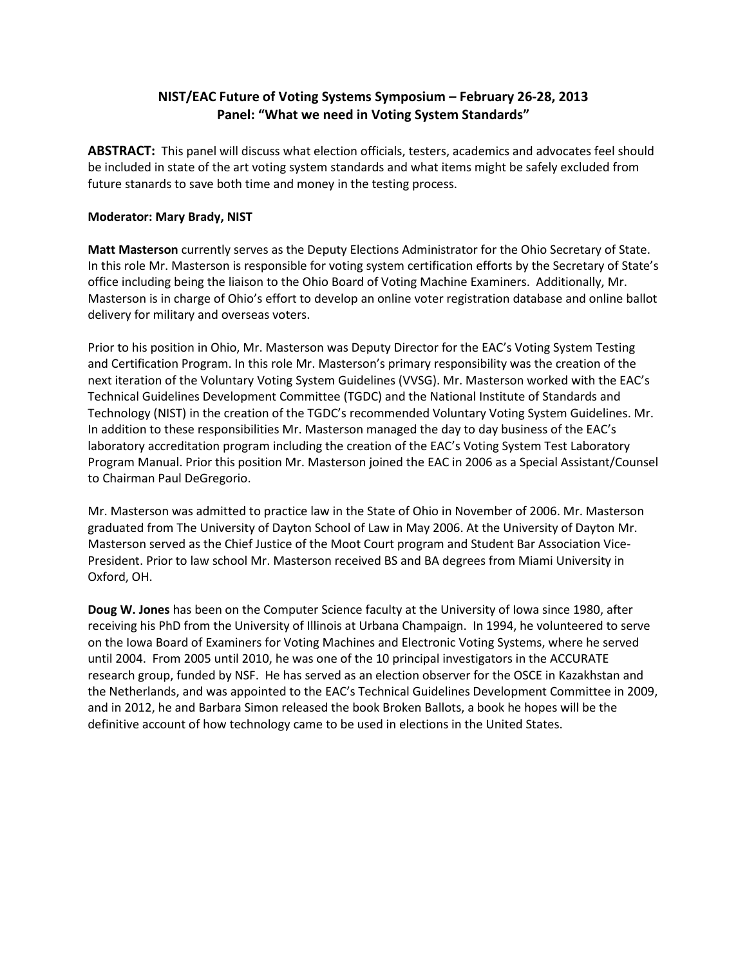## **NIST/EAC Future of Voting Systems Symposium – February 26-28, 2013 Panel: "What we need in Voting System Standards"**

**ABSTRACT:** This panel will discuss what election officials, testers, academics and advocates feel should be included in state of the art voting system standards and what items might be safely excluded from future stanards to save both time and money in the testing process.

## **Moderator: Mary Brady, NIST**

**Matt Masterson** currently serves as the Deputy Elections Administrator for the Ohio Secretary of State. In this role Mr. Masterson is responsible for voting system certification efforts by the Secretary of State's office including being the liaison to the Ohio Board of Voting Machine Examiners. Additionally, Mr. Masterson is in charge of Ohio's effort to develop an online voter registration database and online ballot delivery for military and overseas voters.

Prior to his position in Ohio, Mr. Masterson was Deputy Director for the EAC's Voting System Testing and Certification Program. In this role Mr. Masterson's primary responsibility was the creation of the next iteration of the Voluntary Voting System Guidelines (VVSG). Mr. Masterson worked with the EAC's Technical Guidelines Development Committee (TGDC) and the National Institute of Standards and Technology (NIST) in the creation of the TGDC's recommended Voluntary Voting System Guidelines. Mr. In addition to these responsibilities Mr. Masterson managed the day to day business of the EAC's laboratory accreditation program including the creation of the EAC's Voting System Test Laboratory Program Manual. Prior this position Mr. Masterson joined the EAC in 2006 as a Special Assistant/Counsel to Chairman Paul DeGregorio.

Mr. Masterson was admitted to practice law in the State of Ohio in November of 2006. Mr. Masterson graduated from The University of Dayton School of Law in May 2006. At the University of Dayton Mr. Masterson served as the Chief Justice of the Moot Court program and Student Bar Association Vice-President. Prior to law school Mr. Masterson received BS and BA degrees from Miami University in Oxford, OH.

**Doug W. Jones** has been on the Computer Science faculty at the University of Iowa since 1980, after receiving his PhD from the University of Illinois at Urbana Champaign. In 1994, he volunteered to serve on the Iowa Board of Examiners for Voting Machines and Electronic Voting Systems, where he served until 2004. From 2005 until 2010, he was one of the 10 principal investigators in the ACCURATE research group, funded by NSF. He has served as an election observer for the OSCE in Kazakhstan and the Netherlands, and was appointed to the EAC's Technical Guidelines Development Committee in 2009, and in 2012, he and Barbara Simon released the book Broken Ballots, a book he hopes will be the definitive account of how technology came to be used in elections in the United States.